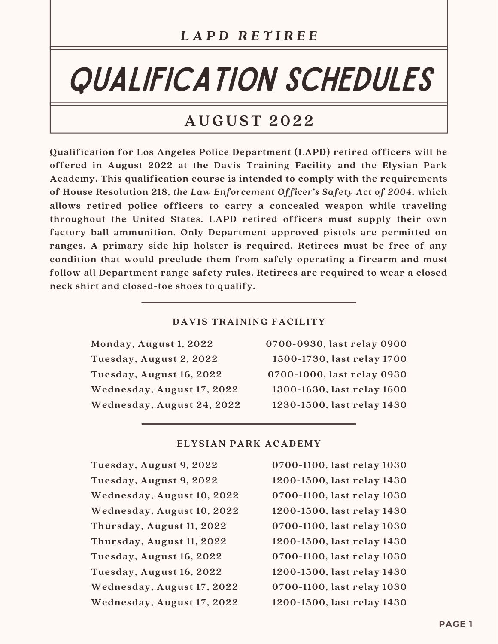# QUALIFICATION SCHEDULES

## **AUGUST 202 2**

**Qualification for Los Angeles Police Department (LAPD) retired officers will be offered in August 2022 at the Davis Training Facility and the Elysian Park Academy. This qualification course is intended to comply with the requirements of House Resolution 218,** *the Law Enforcement Officer's Safety Act of 2004***, which allows retired police officers to carry a concealed weapon while traveling throughout the United States. LAPD retired officers must supply their own factory ball ammunition. Only Department approved pistols are permitted on ranges. A primary side hip holster is required. Retirees must be free of any condition that would preclude them from safely operating a firearm and must follow all Department range safety rules. Retirees are required to wear a closed neck shirt and closed-toe shoes to qualify.**

## **DAVIS TRAINING FACILITY**

| 0700-0930, last relay 0900 |
|----------------------------|
| 1500-1730, last relay 1700 |
| 0700-1000, last relay 0930 |
| 1300-1630, last relay 1600 |
| 1230-1500, last relay 1430 |
|                            |

## **ELYSIAN PARK ACADEMY**

| Tuesday, August 9, 2022    |
|----------------------------|
| Tuesday, August 9, 2022    |
| Wednesday, August 10, 2022 |
| Wednesday, August 10, 2022 |
| Thursday, August 11, 2022  |
| Thursday, August 11, 2022  |
| Tuesday, August 16, 2022   |
| Tuesday, August 16, 2022   |
| Wednesday, August 17, 2022 |
| Wednesday, August 17, 2022 |

**0700-1100, last relay 1030 1200-1500, last relay 1430 0700-1100, last relay 1030 1200-1500, last relay 1430 0700-1100, last relay 1030 1200-1500, last relay 1430 0700-1100, last relay 1030 1200-1500, last relay 1430 0700-1100, last relay 1030 1200-1500, last relay 1430**